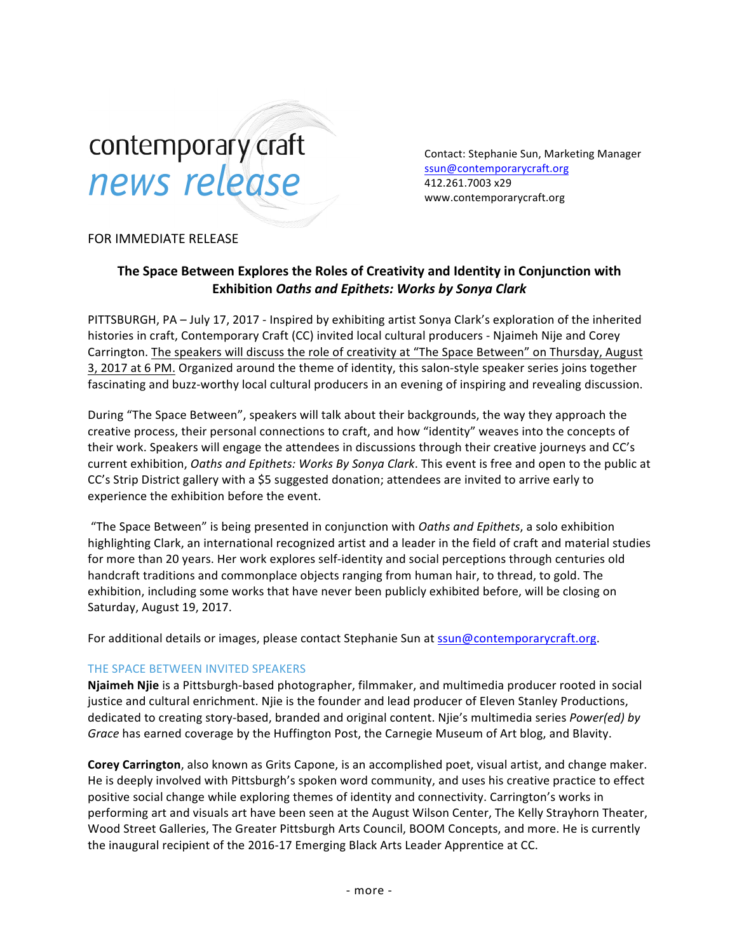# contemporary craft news release

Contact: Stephanie Sun, Marketing Manager ssun@contemporarycraft.org 412.261.7003 x29 www.contemporarycraft.org

### FOR IMMEDIATE RELEASE

## The Space Between Explores the Roles of Creativity and Identity in Conjunction with **Exhibition** *Oaths and Epithets: Works by Sonya Clark*

PITTSBURGH, PA - July 17, 2017 - Inspired by exhibiting artist Sonya Clark's exploration of the inherited histories in craft, Contemporary Craft (CC) invited local cultural producers - Njaimeh Nije and Corey Carrington. The speakers will discuss the role of creativity at "The Space Between" on Thursday, August 3, 2017 at 6 PM. Organized around the theme of identity, this salon-style speaker series joins together fascinating and buzz-worthy local cultural producers in an evening of inspiring and revealing discussion.

During "The Space Between", speakers will talk about their backgrounds, the way they approach the creative process, their personal connections to craft, and how "identity" weaves into the concepts of their work. Speakers will engage the attendees in discussions through their creative journeys and CC's current exhibition, *Oaths and Epithets: Works By Sonya Clark*. This event is free and open to the public at CC's Strip District gallery with a \$5 suggested donation; attendees are invited to arrive early to experience the exhibition before the event.

"The Space Between" is being presented in conjunction with *Oaths and Epithets*, a solo exhibition highlighting Clark, an international recognized artist and a leader in the field of craft and material studies for more than 20 years. Her work explores self-identity and social perceptions through centuries old handcraft traditions and commonplace objects ranging from human hair, to thread, to gold. The exhibition, including some works that have never been publicly exhibited before, will be closing on Saturday, August 19, 2017.

For additional details or images, please contact Stephanie Sun at ssun@contemporarycraft.org.

#### THE SPACE BETWEEN INVITED SPEAKERS

Njaimeh Njie is a Pittsburgh-based photographer, filmmaker, and multimedia producer rooted in social justice and cultural enrichment. Njie is the founder and lead producer of Eleven Stanley Productions, dedicated to creating story-based, branded and original content. Njie's multimedia series *Power(ed) by* Grace has earned coverage by the Huffington Post, the Carnegie Museum of Art blog, and Blavity.

**Corey Carrington**, also known as Grits Capone, is an accomplished poet, visual artist, and change maker. He is deeply involved with Pittsburgh's spoken word community, and uses his creative practice to effect positive social change while exploring themes of identity and connectivity. Carrington's works in performing art and visuals art have been seen at the August Wilson Center, The Kelly Strayhorn Theater, Wood Street Galleries, The Greater Pittsburgh Arts Council, BOOM Concepts, and more. He is currently the inaugural recipient of the 2016-17 Emerging Black Arts Leader Apprentice at CC.